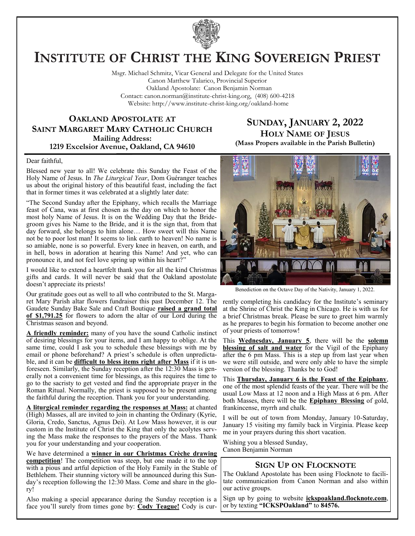

# **INSTITUTE OF CHRIST THE KING SOVEREIGN PRIEST**

Msgr. Michael Schmitz, Vicar General and Delegate for the United States Canon Matthew Talarico, Provincial Superior Oakland Apostolate: Canon Benjamin Norman Contact: canon.norman@institute-christ-king.org, (408) 600-4218 Website: http://www.institute-christ-king.org/oakland-home

## **OAKLAND APOSTOLATE AT SAINT MARGARET MARY CATHOLIC CHURCH Mailing Address: 1219 Excelsior Avenue, Oakland, CA 94610**

## **SUNDAY, JANUARY 2, 2022 HOLY NAME OF JESUS (Mass Propers available in the Parish Bulletin)**

### Dear faithful,

Blessed new year to all! We celebrate this Sunday the Feast of the Holy Name of Jesus. In *The Liturgical Year*, Dom Guéranger teaches us about the original history of this beautiful feast, including the fact that in former times it was celebrated at a slightly later date:

"The Second Sunday after the Epiphany, which recalls the Marriage feast of Cana, was at first chosen as the day on which to honor the most holy Name of Jesus. It is on the Wedding Day that the Bridegroom gives his Name to the Bride, and it is the sign that, from that day forward, she belongs to him alone… How sweet will this Name not be to poor lost man! It seems to link earth to heaven! No name is so amiable, none is so powerful. Every knee in heaven, on earth, and in hell, bows in adoration at hearing this Name! And yet, who can pronounce it, and not feel love spring up within his heart?"

I would like to extend a heartfelt thank you for all the kind Christmas gifts and cards. It will never be said that the Oakland apostolate doesn't appreciate its priests!

Our gratitude goes out as well to all who contributed to the St. Margaret Mary Parish altar flowers fundraiser this past December 12. The Gaudete Sunday Bake Sale and Craft Boutique **raised a grand total of \$1,791.25** for flowers to adorn the altar of our Lord during the Christmas season and beyond.

**A friendly reminder:** many of you have the sound Catholic instinct of desiring blessings for your items, and I am happy to oblige. At the same time, could I ask you to schedule these blessings with me by email or phone beforehand? A priest's schedule is often unpredictable, and it can be **difficult to bless items right after Mass** if it is unforeseen. Similarly, the Sunday reception after the 12:30 Mass is generally not a convenient time for blessings, as this requires the time to go to the sacristy to get vested and find the appropriate prayer in the Roman Ritual. Normally, the priest is supposed to be present among the faithful during the reception. Thank you for your understanding.

**A liturgical reminder regarding the responses at Mass:** at chanted (High) Masses, all are invited to join in chanting the Ordinary (Kyrie, Gloria, Credo, Sanctus, Agnus Dei). At Low Mass however, it is our custom in the Institute of Christ the King that only the acolytes serving the Mass make the responses to the prayers of the Mass. Thank you for your understanding and your cooperation.

We have determined a **winner in our Christmas Crèche drawing competition**! The competition was steep, but one made it to the top with a pious and artful depiction of the Holy Family in the Stable of Bethlehem. Their stunning victory will be announced during this Sunday's reception following the 12:30 Mass. Come and share in the glory!

Also making a special appearance during the Sunday reception is a face you'll surely from times gone by: **Cody Teague!** Cody is cur-



Benediction on the Octave Day of the Nativity, January 1, 2022.

rently completing his candidacy for the Institute's seminary at the Shrine of Christ the King in Chicago. He is with us for a brief Christmas break. Please be sure to greet him warmly as he prepares to begin his formation to become another one of your priests of tomorrow!

This **Wednesday, January 5**, there will be the **solemn blessing of salt and water** for the Vigil of the Epiphany after the 6 pm Mass. This is a step up from last year when we were still outside, and were only able to have the simple version of the blessing. Thanks be to God!

This **Thursday, January 6 is the Feast of the Epiphany**, one of the most splendid feasts of the year. There will be the usual Low Mass at 12 noon and a High Mass at 6 pm. After both Masses, there will be the **Epiphany Blessing** of gold, frankincense, myrrh and chalk.

I will be out of town from Monday, January 10-Saturday, January 15 visiting my family back in Virginia. Please keep me in your prayers during this short vacation.

Wishing you a blessed Sunday, Canon Benjamin Norman

## **SIGN UP ON FLOCKNOTE**

The Oakland Apostolate has been using Flocknote to facilitate communication from Canon Norman and also within our active groups.

Sign up by going to website **ickspoakland.flocknote.com**, or by texting **"ICKSPOakland"** to **84576.**